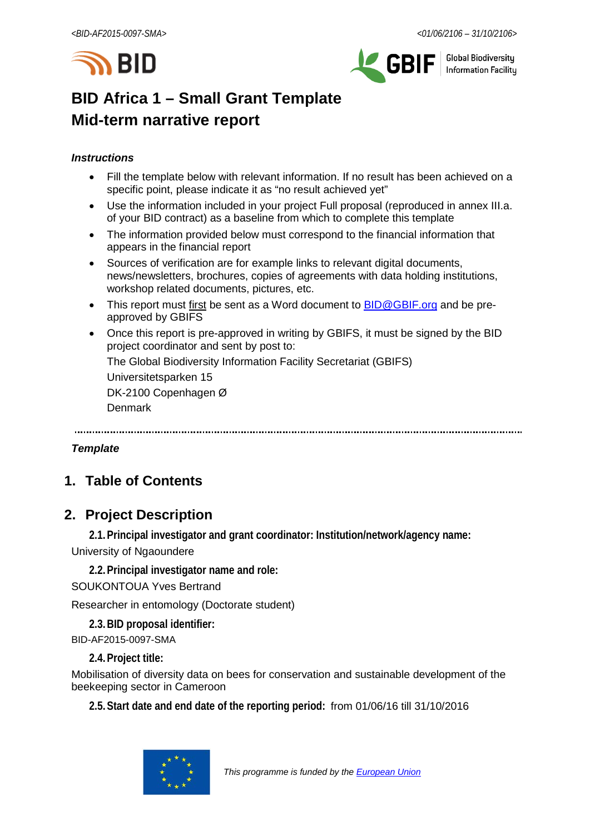



**Global Biodiversity Information Facilitu** 

# **BID Africa 1 – Small Grant Template Mid-term narrative report**

# *Instructions*

- Fill the template below with relevant information. If no result has been achieved on a specific point, please indicate it as "no result achieved yet"
- Use the information included in your project Full proposal (reproduced in annex III.a. of your BID contract) as a baseline from which to complete this template
- The information provided below must correspond to the financial information that appears in the financial report
- Sources of verification are for example links to relevant digital documents, news/newsletters, brochures, copies of agreements with data holding institutions, workshop related documents, pictures, etc.
- This report must first be sent as a Word document to **BID@GBIF.org** and be preapproved by GBIFS
- Once this report is pre-approved in writing by GBIFS, it must be signed by the BID project coordinator and sent by post to:

The Global Biodiversity Information Facility Secretariat (GBIFS)

Universitetsparken 15

DK-2100 Copenhagen Ø

Denmark

# *Template*

# **1. Table of Contents**

# **2. Project Description**

**2.1.Principal investigator and grant coordinator: Institution/network/agency name:**

University of Ngaoundere

**2.2.Principal investigator name and role:** SOUKONTOUA Yves Bertrand

Researcher in entomology (Doctorate student)

**2.3.BID proposal identifier:**

BID-AF2015-0097-SMA

**2.4.Project title:**

Mobilisation of diversity data on bees for conservation and sustainable development of the beekeeping sector in Cameroon

**2.5.Start date and end date of the reporting period:** from 01/06/16 till 31/10/2016

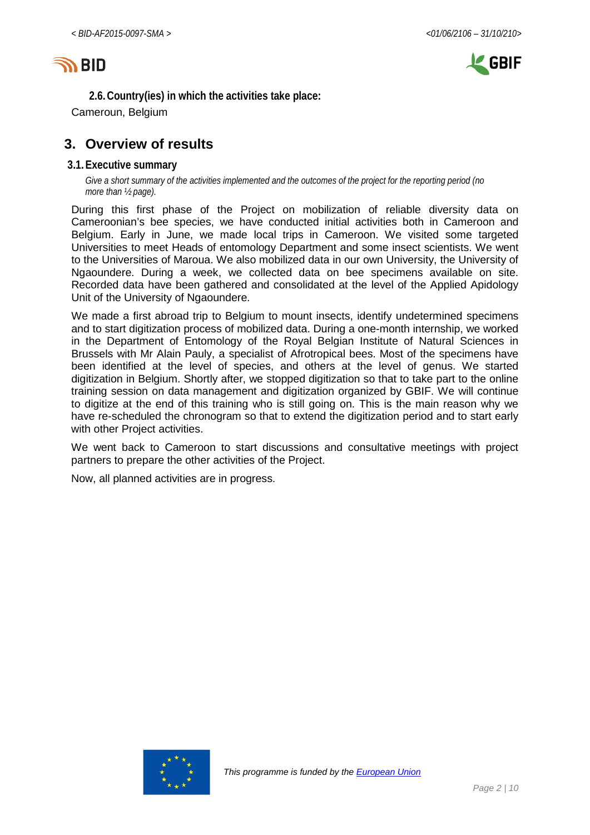



**2.6.Country(ies) in which the activities take place:**

Cameroun, Belgium

# **3. Overview of results**

#### **3.1.Executive summary**

*Give a short summary of the activities implemented and the outcomes of the project for the reporting period (no more than ½ page).*

During this first phase of the Project on mobilization of reliable diversity data on Cameroonian's bee species, we have conducted initial activities both in Cameroon and Belgium. Early in June, we made local trips in Cameroon. We visited some targeted Universities to meet Heads of entomology Department and some insect scientists. We went to the Universities of Maroua. We also mobilized data in our own University, the University of Ngaoundere. During a week, we collected data on bee specimens available on site. Recorded data have been gathered and consolidated at the level of the Applied Apidology Unit of the University of Ngaoundere.

We made a first abroad trip to Belgium to mount insects, identify undetermined specimens and to start digitization process of mobilized data. During a one-month internship, we worked in the Department of Entomology of the Royal Belgian Institute of Natural Sciences in Brussels with Mr Alain Pauly, a specialist of Afrotropical bees. Most of the specimens have been identified at the level of species, and others at the level of genus. We started digitization in Belgium. Shortly after, we stopped digitization so that to take part to the online training session on data management and digitization organized by GBIF. We will continue to digitize at the end of this training who is still going on. This is the main reason why we have re-scheduled the chronogram so that to extend the digitization period and to start early with other Project activities.

We went back to Cameroon to start discussions and consultative meetings with project partners to prepare the other activities of the Project.

Now, all planned activities are in progress.

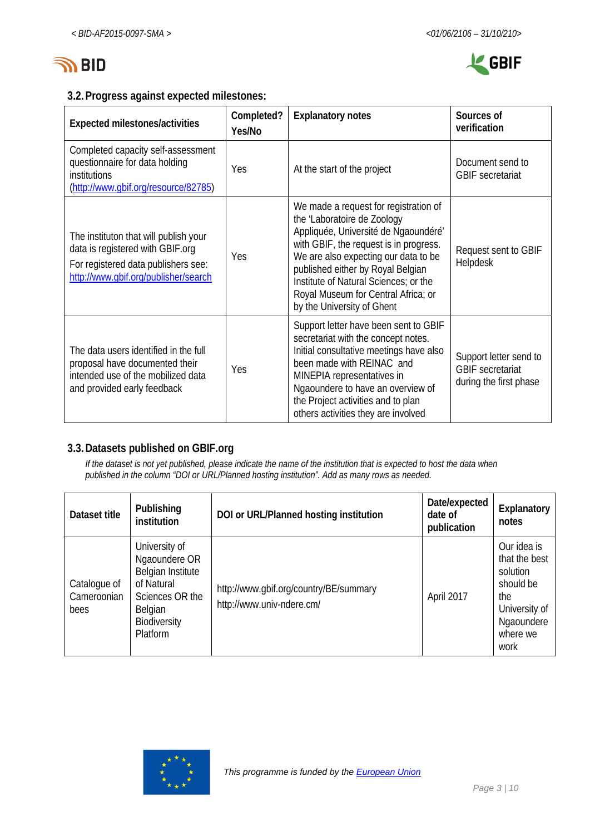

# **3.2.Progress against expected milestones:**

| Expected milestones/activities                                                                                                                           | Completed?<br>Yes/No | <b>Explanatory notes</b>                                                                                                                                                                                                                                                                                                                          | Sources of<br>verification                                                  |
|----------------------------------------------------------------------------------------------------------------------------------------------------------|----------------------|---------------------------------------------------------------------------------------------------------------------------------------------------------------------------------------------------------------------------------------------------------------------------------------------------------------------------------------------------|-----------------------------------------------------------------------------|
| Completed capacity self-assessment<br>questionnaire for data holding<br>institutions<br>(http://www.gbif.org/resource/82785)                             | Yes                  | At the start of the project                                                                                                                                                                                                                                                                                                                       | Document send to<br><b>GBIF</b> secretariat                                 |
| The instituton that will publish your<br>data is registered with GBIF.org<br>For registered data publishers see:<br>http://www.qbif.org/publisher/search | Yes                  | We made a request for registration of<br>the 'Laboratoire de Zoology<br>Appliquée, Université de Ngaoundéré'<br>with GBIF, the request is in progress.<br>We are also expecting our data to be<br>published either by Royal Belgian<br>Institute of Natural Sciences; or the<br>Royal Museum for Central Africa; or<br>by the University of Ghent | Request sent to GBIF<br>Helpdesk                                            |
| The data users identified in the full<br>proposal have documented their<br>intended use of the mobilized data<br>and provided early feedback             | Yes                  | Support letter have been sent to GBIF<br>secretariat with the concept notes.<br>Initial consultative meetings have also<br>been made with REINAC and<br>MINEPIA representatives in<br>Ngaoundere to have an overview of<br>the Project activities and to plan<br>others activities they are involved                                              | Support letter send to<br><b>GBIF</b> secretariat<br>during the first phase |

# **3.3.Datasets published on GBIF.org**

*If the dataset is not yet published, please indicate the name of the institution that is expected to host the data when published in the column "DOI or URL/Planned hosting institution". Add as many rows as needed.*

| Dataset title                       | Publishing<br>institution                                                                                                   | DOI or URL/Planned hosting institution                              | Date/expected<br>date of<br>publication | Explanatory<br>notes                                                                                            |
|-------------------------------------|-----------------------------------------------------------------------------------------------------------------------------|---------------------------------------------------------------------|-----------------------------------------|-----------------------------------------------------------------------------------------------------------------|
| Catalogue of<br>Cameroonian<br>bees | University of<br>Ngaoundere OR<br>Belgian Institute<br>of Natural<br>Sciences OR the<br>Belgian<br>Biodiversity<br>Platform | http://www.gbif.org/country/BE/summary<br>http://www.univ-ndere.cm/ | April 2017                              | Our idea is<br>that the best<br>solution<br>should be<br>the<br>University of<br>Ngaoundere<br>where we<br>work |

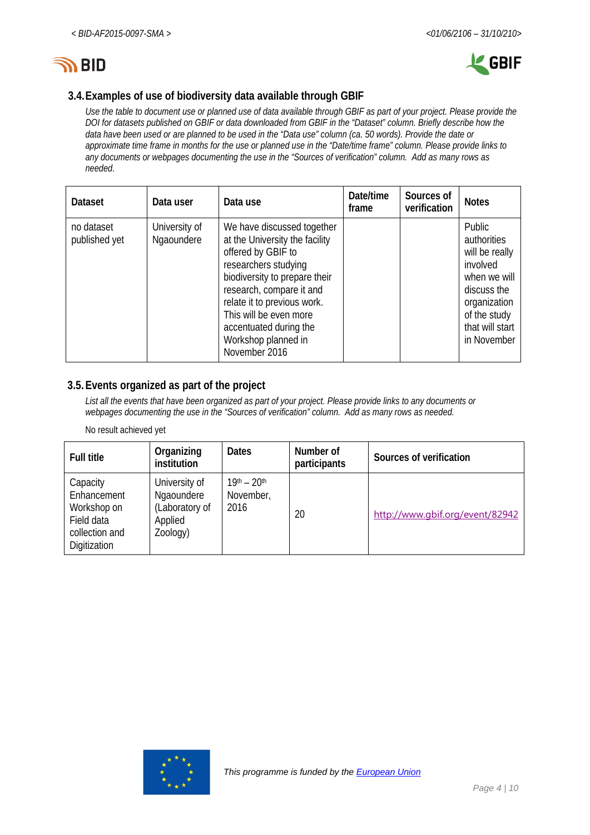



# **3.4.Examples of use of biodiversity data available through GBIF**

*Use the table to document use or planned use of data available through GBIF as part of your project. Please provide the DOI for datasets published on GBIF or data downloaded from GBIF in the "Dataset" column. Briefly describe how the data have been used or are planned to be used in the "Data use" column (ca. 50 words). Provide the date or approximate time frame in months for the use or planned use in the "Date/time frame" column. Please provide links to any documents or webpages documenting the use in the "Sources of verification" column. Add as many rows as needed.*

| <b>Dataset</b>              | Data user                   | Data use                                                                                                                                                                                                                                                                                           | Date/time<br>frame | Sources of<br>verification | <b>Notes</b>                                                                                                                                         |
|-----------------------------|-----------------------------|----------------------------------------------------------------------------------------------------------------------------------------------------------------------------------------------------------------------------------------------------------------------------------------------------|--------------------|----------------------------|------------------------------------------------------------------------------------------------------------------------------------------------------|
| no dataset<br>published yet | University of<br>Ngaoundere | We have discussed together<br>at the University the facility<br>offered by GBIF to<br>researchers studying<br>biodiversity to prepare their<br>research, compare it and<br>relate it to previous work.<br>This will be even more<br>accentuated during the<br>Workshop planned in<br>November 2016 |                    |                            | Public<br>authorities<br>will be really<br>involved<br>when we will<br>discuss the<br>organization<br>of the study<br>that will start<br>in November |

#### **3.5.Events organized as part of the project**

*List all the events that have been organized as part of your project. Please provide links to any documents or webpages documenting the use in the "Sources of verification" column. Add as many rows as needed.*

#### No result achieved yet

| <b>Full title</b>                                                                      | Organizing<br>institution                                            | <b>Dates</b>                             | Number of<br>participants | Sources of verification         |
|----------------------------------------------------------------------------------------|----------------------------------------------------------------------|------------------------------------------|---------------------------|---------------------------------|
| Capacity<br>Enhancement<br>Workshop on<br>Field data<br>collection and<br>Digitization | University of<br>Ngaoundere<br>(Laboratory of<br>Applied<br>Zoology) | $19^{th} - 20^{th}$<br>November,<br>2016 | 20                        | http://www.gbif.org/event/82942 |

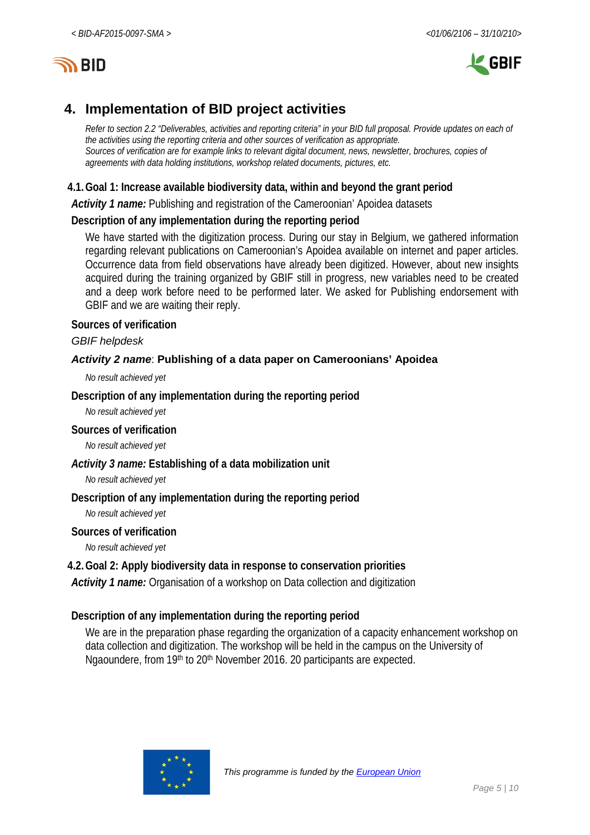

# **4. Implementation of BID project activities**

*Refer to section 2.2 "Deliverables, activities and reporting criteria" in your BID full proposal. Provide updates on each of the activities using the reporting criteria and other sources of verification as appropriate. Sources of verification are for example links to relevant digital document, news, newsletter, brochures, copies of agreements with data holding institutions, workshop related documents, pictures, etc.*

# **4.1.Goal 1: Increase available biodiversity data, within and beyond the grant period**

*Activity 1 name:* Publishing and registration of the Cameroonian' Apoidea datasets

# **Description of any implementation during the reporting period**

We have started with the digitization process. During our stay in Belgium, we gathered information regarding relevant publications on Cameroonian's Apoidea available on internet and paper articles. Occurrence data from field observations have already been digitized. However, about new insights acquired during the training organized by GBIF still in progress, new variables need to be created and a deep work before need to be performed later. We asked for Publishing endorsement with GBIF and we are waiting their reply.

#### **Sources of verification**

#### *GBIF helpdesk*

# *Activity 2 name*: **Publishing of a data paper on Cameroonians' Apoidea**

*No result achieved yet*

# **Description of any implementation during the reporting period**

*No result achieved yet*

#### **Sources of verification**

*No result achieved yet*

# *Activity 3 name:* **Establishing of a data mobilization unit**

*No result achieved yet*

# **Description of any implementation during the reporting period**

*No result achieved yet*

#### **Sources of verification**

*No result achieved yet*

# **4.2.Goal 2: Apply biodiversity data in response to conservation priorities**

*Activity 1 name:* Organisation of a workshop on Data collection and digitization

# **Description of any implementation during the reporting period**

We are in the preparation phase regarding the organization of a capacity enhancement workshop on data collection and digitization. The workshop will be held in the campus on the University of Ngaoundere, from 19th to 20th November 2016. 20 participants are expected.

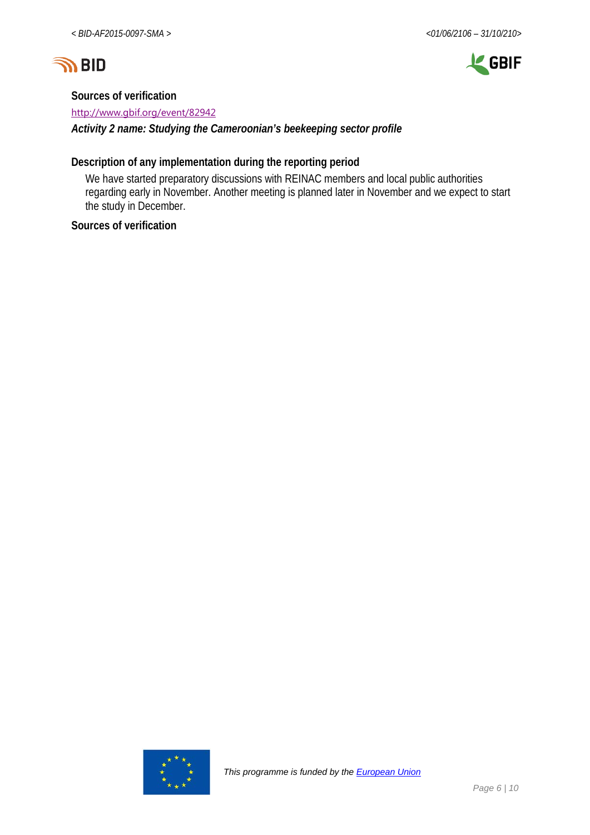



#### **Sources of verification**

<http://www.gbif.org/event/82942>

*Activity 2 name: Studying the Cameroonian's beekeeping sector profile*

# **Description of any implementation during the reporting period**

We have started preparatory discussions with REINAC members and local public authorities regarding early in November. Another meeting is planned later in November and we expect to start the study in December.

# **Sources of verification**

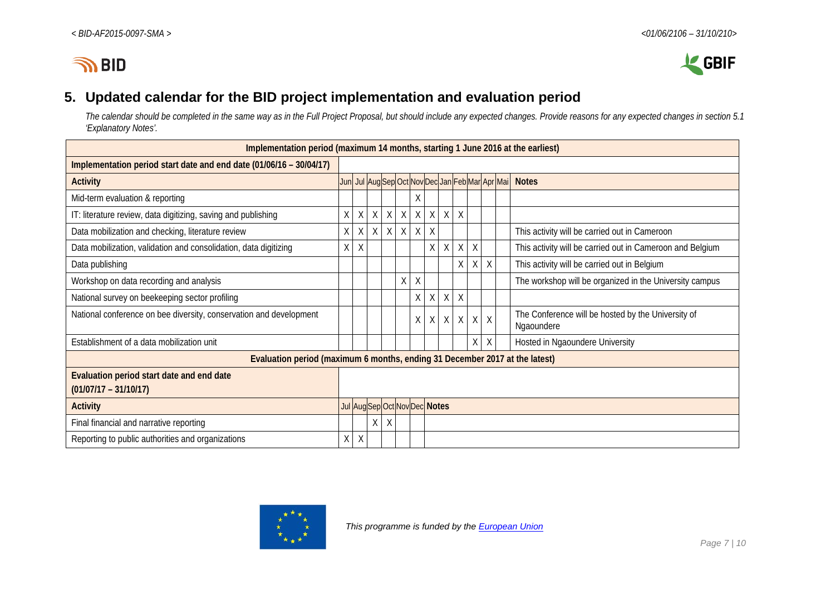



# **5. Updated calendar for the BID project implementation and evaluation period**

*The calendar should be completed in the same way as in the Full Project Proposal, but should include any expected changes. Provide reasons for any expected changes in section 5.1 'Explanatory Notes'.*

| Implementation period (maximum 14 months, starting 1 June 2016 at the earliest) |                               |         |   |         |        |          |                                                |         |        |         |        |                                                                  |
|---------------------------------------------------------------------------------|-------------------------------|---------|---|---------|--------|----------|------------------------------------------------|---------|--------|---------|--------|------------------------------------------------------------------|
| Implementation period start date and end date (01/06/16 - 30/04/17)             |                               |         |   |         |        |          |                                                |         |        |         |        |                                                                  |
| <b>Activity</b>                                                                 |                               |         |   |         |        |          | Jun Jul AugSep Oct Nov Dec Jan Feb Mar Apr Mai |         |        |         |        | <b>Notes</b>                                                     |
| Mid-term evaluation & reporting                                                 |                               |         |   |         |        | X        |                                                |         |        |         |        |                                                                  |
| IT: literature review, data digitizing, saving and publishing                   | X                             | X       | X | X       | X      | X        | $\times$                                       | X       | $\chi$ |         |        |                                                                  |
| Data mobilization and checking, literature review                               | X                             | X       | X | $\sf X$ | $\chi$ | $\times$ | $\chi$                                         |         |        |         |        | This activity will be carried out in Cameroon                    |
| Data mobilization, validation and consolidation, data digitizing                | X.                            | X       |   |         |        |          | X                                              | X       | X      | $\chi$  |        | This activity will be carried out in Cameroon and Belgium        |
| Data publishing                                                                 |                               |         |   |         |        |          |                                                |         | X      | X       | X      | This activity will be carried out in Belgium                     |
| Workshop on data recording and analysis                                         |                               |         |   |         | Χ      | Χ        |                                                |         |        |         |        | The workshop will be organized in the University campus          |
| National survey on beekeeping sector profiling                                  |                               |         |   |         |        | X        | X                                              | X       | $\chi$ |         |        |                                                                  |
| National conference on bee diversity, conservation and development              |                               |         |   |         |        | Χ        |                                                | $X$ $X$ | X      | $\sf X$ | $\chi$ | The Conference will be hosted by the University of<br>Ngaoundere |
| Establishment of a data mobilization unit                                       |                               |         |   |         |        |          |                                                |         |        | Χ       | Χ      | Hosted in Ngaoundere University                                  |
| Evaluation period (maximum 6 months, ending 31 December 2017 at the latest)     |                               |         |   |         |        |          |                                                |         |        |         |        |                                                                  |
| Evaluation period start date and end date                                       |                               |         |   |         |        |          |                                                |         |        |         |        |                                                                  |
| $(01/07/17 - 31/10/17)$                                                         |                               |         |   |         |        |          |                                                |         |        |         |        |                                                                  |
| <b>Activity</b>                                                                 | Jul Aug Sep Oct Nov Dec Notes |         |   |         |        |          |                                                |         |        |         |        |                                                                  |
| Final financial and narrative reporting                                         |                               |         | Χ | X       |        |          |                                                |         |        |         |        |                                                                  |
| Reporting to public authorities and organizations                               | Χ                             | $\sf X$ |   |         |        |          |                                                |         |        |         |        |                                                                  |

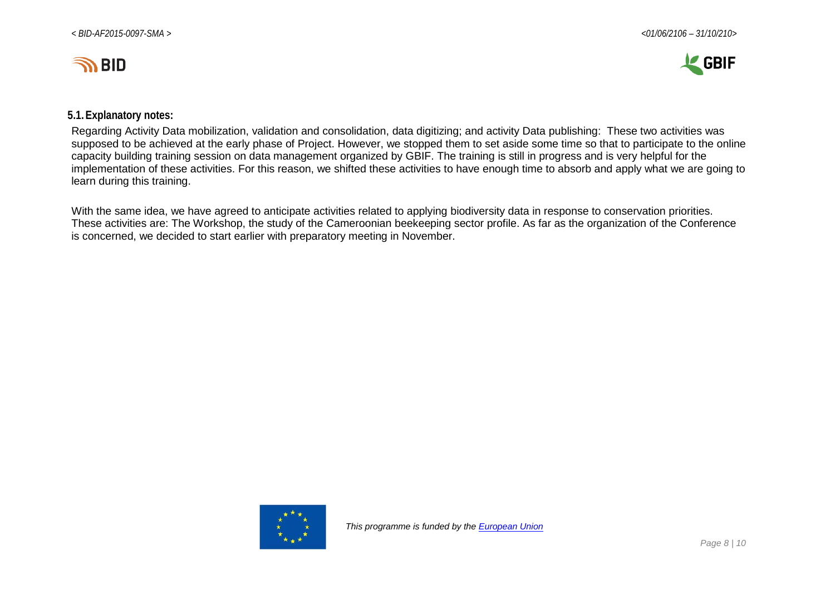



#### **5.1.Explanatory notes:**

Regarding Activity Data mobilization, validation and consolidation, data digitizing; and activity Data publishing: These two activities was supposed to be achieved at the early phase of Project. However, we stopped them to set aside some time so that to participate to the online capacity building training session on data management organized by GBIF. The training is still in progress and is very helpful for the implementation of these activities. For this reason, we shifted these activities to have enough time to absorb and apply what we are going to learn during this training.

With the same idea, we have agreed to anticipate activities related to applying biodiversity data in response to conservation priorities. These activities are: The Workshop, the study of the Cameroonian beekeeping sector profile. As far as the organization of the Conference is concerned, we decided to start earlier with preparatory meeting in November.

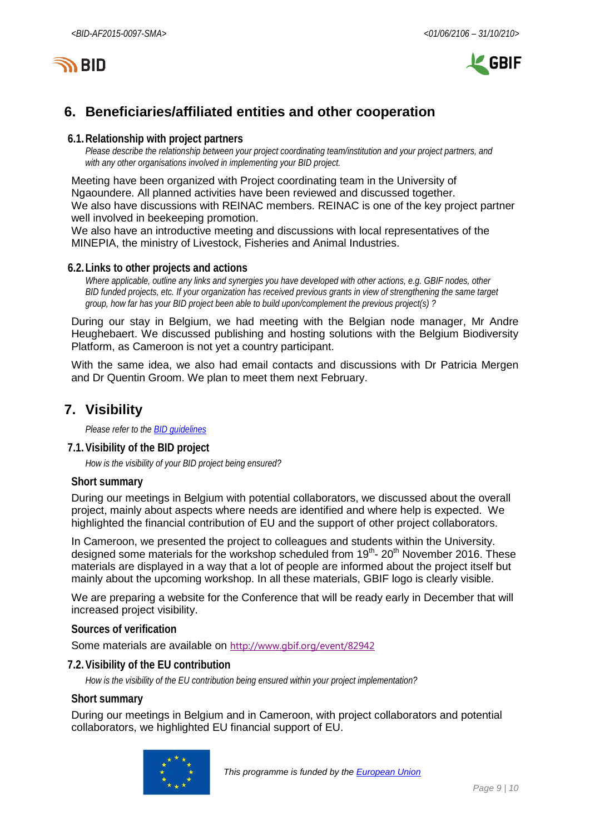



# **6. Beneficiaries/affiliated entities and other cooperation**

#### **6.1.Relationship with project partners**

*Please describe the relationship between your project coordinating team/institution and your project partners, and with any other organisations involved in implementing your BID project.*

Meeting have been organized with Project coordinating team in the University of Ngaoundere. All planned activities have been reviewed and discussed together. We also have discussions with REINAC members. REINAC is one of the key project partner well involved in beekeeping promotion.

We also have an introductive meeting and discussions with local representatives of the MINEPIA, the ministry of Livestock, Fisheries and Animal Industries.

#### **6.2.Links to other projects and actions**

*Where applicable, outline any links and synergies you have developed with other actions, e.g. GBIF nodes, other BID funded projects, etc. If your organization has received previous grants in view of strengthening the same target group, how far has your BID project been able to build upon/complement the previous project(s) ?*

During our stay in Belgium, we had meeting with the Belgian node manager, Mr Andre Heughebaert. We discussed publishing and hosting solutions with the Belgium Biodiversity Platform, as Cameroon is not yet a country participant.

With the same idea, we also had email contacts and discussions with Dr Patricia Mergen and Dr Quentin Groom. We plan to meet them next February.

# **7. Visibility**

*Please refer to th[e BID guidelines](http://bid.gbif.org/en/community/communication-guidelines/)*

#### **7.1.Visibility of the BID project**

*How is the visibility of your BID project being ensured?*

#### **Short summary**

During our meetings in Belgium with potential collaborators, we discussed about the overall project, mainly about aspects where needs are identified and where help is expected. We highlighted the financial contribution of EU and the support of other project collaborators.

In Cameroon, we presented the project to colleagues and students within the University. designed some materials for the workshop scheduled from 19<sup>th</sup>- 20<sup>th</sup> November 2016. These materials are displayed in a way that a lot of people are informed about the project itself but mainly about the upcoming workshop. In all these materials, GBIF logo is clearly visible.

We are preparing a website for the Conference that will be ready early in December that will increased project visibility.

#### **Sources of verification**

Some materials are available on <http://www.gbif.org/event/82942>

#### **7.2.Visibility of the EU contribution**

*How is the visibility of the EU contribution being ensured within your project implementation?*

#### **Short summary**

During our meetings in Belgium and in Cameroon, with project collaborators and potential collaborators, we highlighted EU financial support of EU.